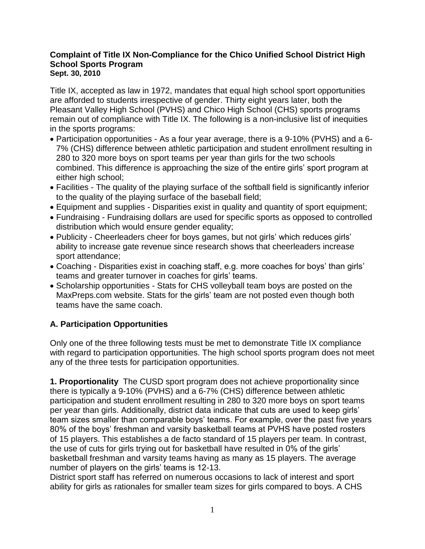#### **Complaint of Title IX Non-Compliance for the Chico Unified School District High School Sports Program Sept. 30, 2010**

Title IX, accepted as law in 1972, mandates that equal high school sport opportunities are afforded to students irrespective of gender. Thirty eight years later, both the Pleasant Valley High School (PVHS) and Chico High School (CHS) sports programs remain out of compliance with Title IX. The following is a non-inclusive list of inequities in the sports programs:

- Participation opportunities As a four year average, there is a 9-10% (PVHS) and a 6- 7% (CHS) difference between athletic participation and student enrollment resulting in 280 to 320 more boys on sport teams per year than girls for the two schools combined. This difference is approaching the size of the entire girls" sport program at either high school;
- Facilities The quality of the playing surface of the softball field is significantly inferior to the quality of the playing surface of the baseball field;
- Equipment and supplies Disparities exist in quality and quantity of sport equipment;
- Fundraising Fundraising dollars are used for specific sports as opposed to controlled distribution which would ensure gender equality;
- Publicity Cheerleaders cheer for boys games, but not girls' which reduces girls' ability to increase gate revenue since research shows that cheerleaders increase sport attendance;
- Coaching Disparities exist in coaching staff, e.g. more coaches for boys' than girls' teams and greater turnover in coaches for girls' teams.
- Scholarship opportunities Stats for CHS volleyball team boys are posted on the MaxPreps.com website. Stats for the girls" team are not posted even though both teams have the same coach.

# **A. Participation Opportunities**

Only one of the three following tests must be met to demonstrate Title IX compliance with regard to participation opportunities. The high school sports program does not meet any of the three tests for participation opportunities.

**1. Proportionality** The CUSD sport program does not achieve proportionality since there is typically a 9-10% (PVHS) and a 6-7% (CHS) difference between athletic participation and student enrollment resulting in 280 to 320 more boys on sport teams per year than girls. Additionally, district data indicate that cuts are used to keep girls" team sizes smaller than comparable boys" teams. For example, over the past five years 80% of the boys" freshman and varsity basketball teams at PVHS have posted rosters of 15 players. This establishes a de facto standard of 15 players per team. In contrast, the use of cuts for girls trying out for basketball have resulted in 0% of the girls" basketball freshman and varsity teams having as many as 15 players. The average number of players on the girls' teams is 12-13.

District sport staff has referred on numerous occasions to lack of interest and sport ability for girls as rationales for smaller team sizes for girls compared to boys. A CHS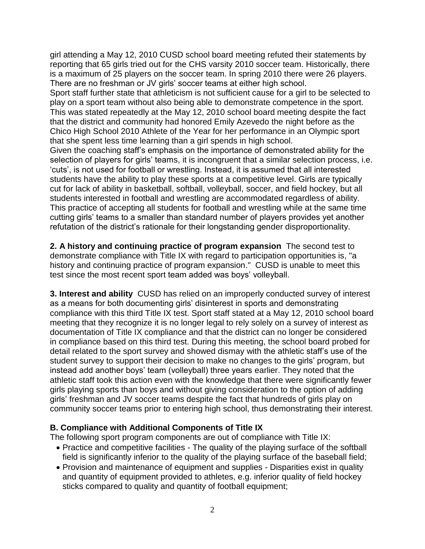girl attending a May 12, 2010 CUSD school board meeting refuted their statements by reporting that 65 girls tried out for the CHS varsity 2010 soccer team. Historically, there is a maximum of 25 players on the soccer team. In spring 2010 there were 26 players. There are no freshman or JV girls' soccer teams at either high school.

Sport staff further state that athleticism is not sufficient cause for a girl to be selected to play on a sport team without also being able to demonstrate competence in the sport. This was stated repeatedly at the May 12, 2010 school board meeting despite the fact that the district and community had honored Emily Azevedo the night before as the Chico High School 2010 Athlete of the Year for her performance in an Olympic sport that she spent less time learning than a girl spends in high school.

Given the coaching staff"s emphasis on the importance of demonstrated ability for the selection of players for girls' teams, it is incongruent that a similar selection process, i.e. "cuts", is not used for football or wrestling. Instead, it is assumed that all interested students have the ability to play these sports at a competitive level. Girls are typically cut for lack of ability in basketball, softball, volleyball, soccer, and field hockey, but all students interested in football and wrestling are accommodated regardless of ability. This practice of accepting all students for football and wrestling while at the same time cutting girls" teams to a smaller than standard number of players provides yet another refutation of the district's rationale for their longstanding gender disproportionality.

**2. A history and continuing practice of program expansion** The second test to demonstrate compliance with Title IX with regard to participation opportunities is, "a history and continuing practice of program expansion." CUSD is unable to meet this test since the most recent sport team added was boys' volleyball.

**3. Interest and ability** CUSD has relied on an improperly conducted survey of interest as a means for both documenting girls' disinterest in sports and demonstrating compliance with this third Title IX test. Sport staff stated at a May 12, 2010 school board meeting that they recognize it is no longer legal to rely solely on a survey of interest as documentation of Title IX compliance and that the district can no longer be considered in compliance based on this third test. During this meeting, the school board probed for detail related to the sport survey and showed dismay with the athletic staff"s use of the student survey to support their decision to make no changes to the girls" program, but instead add another boys" team (volleyball) three years earlier. They noted that the athletic staff took this action even with the knowledge that there were significantly fewer girls playing sports than boys and without giving consideration to the option of adding girls" freshman and JV soccer teams despite the fact that hundreds of girls play on community soccer teams prior to entering high school, thus demonstrating their interest.

# **B. Compliance with Additional Components of Title IX**

The following sport program components are out of compliance with Title IX:

- Practice and competitive facilities The quality of the playing surface of the softball field is significantly inferior to the quality of the playing surface of the baseball field;
- Provision and maintenance of equipment and supplies Disparities exist in quality and quantity of equipment provided to athletes, e.g. inferior quality of field hockey sticks compared to quality and quantity of football equipment;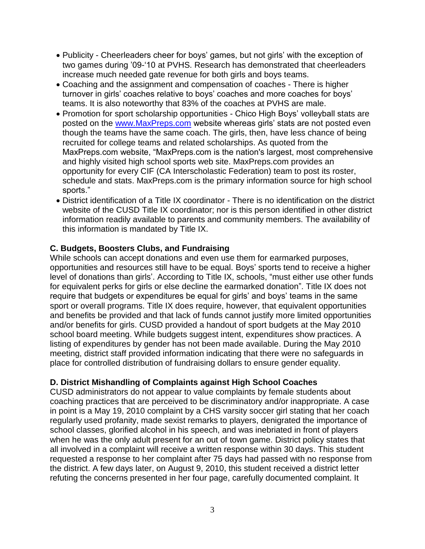- Publicity Cheerleaders cheer for boys" games, but not girls" with the exception of two games during '09-'10 at PVHS. Research has demonstrated that cheerleaders increase much needed gate revenue for both girls and boys teams.
- Coaching and the assignment and compensation of coaches There is higher turnover in girls' coaches relative to boys' coaches and more coaches for boys' teams. It is also noteworthy that 83% of the coaches at PVHS are male.
- Promotion for sport scholarship opportunities Chico High Boys' volleyball stats are posted on the [www.MaxPreps.com](http://www.maxpreps.com/) website whereas girls' stats are not posted even though the teams have the same coach. The girls, then, have less chance of being recruited for college teams and related scholarships. As quoted from the MaxPreps.com website, "MaxPreps.com is the nation's largest, most comprehensive and highly visited high school sports web site. MaxPreps.com provides an opportunity for every CIF (CA Interscholastic Federation) team to post its roster, schedule and stats. MaxPreps.com is the primary information source for high school sports."
- District identification of a Title IX coordinator There is no identification on the district website of the CUSD Title IX coordinator; nor is this person identified in other district information readily available to parents and community members. The availability of this information is mandated by Title IX.

#### **C. Budgets, Boosters Clubs, and Fundraising**

While schools can accept donations and even use them for earmarked purposes, opportunities and resources still have to be equal. Boys" sports tend to receive a higher level of donations than girls'. According to Title IX, schools, "must either use other funds for equivalent perks for girls or else decline the earmarked donation". Title IX does not require that budgets or expenditures be equal for girls' and boys' teams in the same sport or overall programs. Title IX does require, however, that equivalent opportunities and benefits be provided and that lack of funds cannot justify more limited opportunities and/or benefits for girls. CUSD provided a handout of sport budgets at the May 2010 school board meeting. While budgets suggest intent, expenditures show practices. A listing of expenditures by gender has not been made available. During the May 2010 meeting, district staff provided information indicating that there were no safeguards in place for controlled distribution of fundraising dollars to ensure gender equality.

# **D. District Mishandling of Complaints against High School Coaches**

CUSD administrators do not appear to value complaints by female students about coaching practices that are perceived to be discriminatory and/or inappropriate. A case in point is a May 19, 2010 complaint by a CHS varsity soccer girl stating that her coach regularly used profanity, made sexist remarks to players, denigrated the importance of school classes, glorified alcohol in his speech, and was inebriated in front of players when he was the only adult present for an out of town game. District policy states that all involved in a complaint will receive a written response within 30 days. This student requested a response to her complaint after 75 days had passed with no response from the district. A few days later, on August 9, 2010, this student received a district letter refuting the concerns presented in her four page, carefully documented complaint. It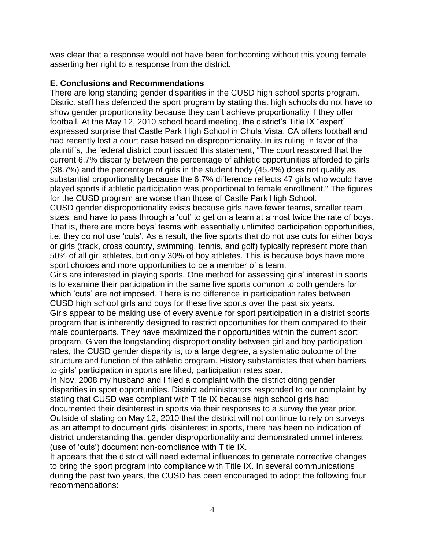was clear that a response would not have been forthcoming without this young female asserting her right to a response from the district.

### **E. Conclusions and Recommendations**

There are long standing gender disparities in the CUSD high school sports program. District staff has defended the sport program by stating that high schools do not have to show gender proportionality because they can"t achieve proportionality if they offer football. At the May 12, 2010 school board meeting, the district's Title IX "expert" expressed surprise that Castle Park High School in Chula Vista, CA offers football and had recently lost a court case based on disproportionality. In its ruling in favor of the plaintiffs, the federal district court issued this statement, "The court reasoned that the current 6.7% disparity between the percentage of athletic opportunities afforded to girls (38.7%) and the percentage of girls in the student body (45.4%) does not qualify as substantial proportionality because the 6.7% difference reflects 47 girls who would have played sports if athletic participation was proportional to female enrollment." The figures for the CUSD program are worse than those of Castle Park High School.

CUSD gender disproportionality exists because girls have fewer teams, smaller team sizes, and have to pass through a 'cut' to get on a team at almost twice the rate of boys. That is, there are more boys" teams with essentially unlimited participation opportunities, i.e. they do not use 'cuts'. As a result, the five sports that do not use cuts for either boys or girls (track, cross country, swimming, tennis, and golf) typically represent more than 50% of all girl athletes, but only 30% of boy athletes. This is because boys have more sport choices and more opportunities to be a member of a team.

Girls are interested in playing sports. One method for assessing girls' interest in sports is to examine their participation in the same five sports common to both genders for which 'cuts' are not imposed. There is no difference in participation rates between CUSD high school girls and boys for these five sports over the past six years.

Girls appear to be making use of every avenue for sport participation in a district sports program that is inherently designed to restrict opportunities for them compared to their male counterparts. They have maximized their opportunities within the current sport program. Given the longstanding disproportionality between girl and boy participation rates, the CUSD gender disparity is, to a large degree, a systematic outcome of the structure and function of the athletic program. History substantiates that when barriers to girls" participation in sports are lifted, participation rates soar.

In Nov. 2008 my husband and I filed a complaint with the district citing gender disparities in sport opportunities. District administrators responded to our complaint by stating that CUSD was compliant with Title IX because high school girls had documented their disinterest in sports via their responses to a survey the year prior. Outside of stating on May 12, 2010 that the district will not continue to rely on surveys as an attempt to document girls" disinterest in sports, there has been no indication of district understanding that gender disproportionality and demonstrated unmet interest (use of "cuts") document non-compliance with Title IX.

It appears that the district will need external influences to generate corrective changes to bring the sport program into compliance with Title IX. In several communications during the past two years, the CUSD has been encouraged to adopt the following four recommendations: